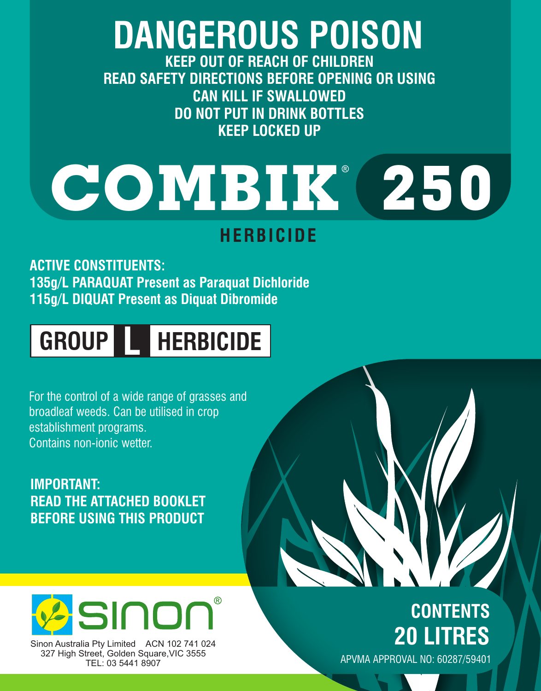# **DANGEROUS POISON**

**KEEP OUT OF REACH OF CHILDREN READ SAFETY DIRECTIONS BEFORE OPENING OR USING CAN KILL IF SWALLOWED DO NOT PUT IN DRINK BOTTLES KEEP LOCKED UP**

# **COMBIK 250**

### **HERBICIDE**

**ACTIVE CONSTITUENTS: 135g/L PARAQUAT Present as Paraquat Dichloride 115g/L DIQUAT Present as Diquat Dibromide**

## **GROUP L HERBICIDE**

For the control of a wide range of grasses and broadleaf weeds. Can be utilised in crop establishment programs. Contains non-ionic wetter.

**IMPORTANT: READ THE ATTACHED BOOKLET BEFORE USING THIS PRODUCT**



Sinon Australia Pty Limited ACN 102 741 024 327 High Street, Golden Square,VIC 3555 TEL: 03 5441 8907

## **CONTENTS 20 LITRES**

APVMA APPROVAL NO: 60287/59401